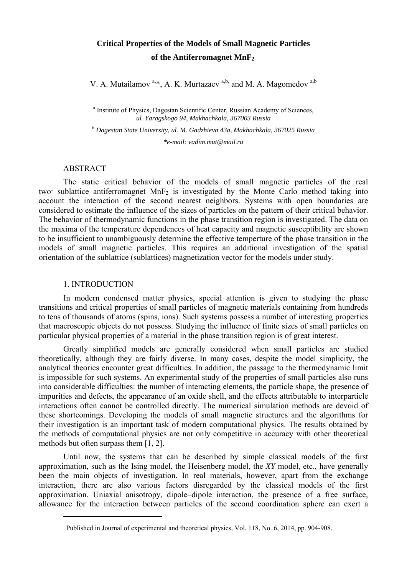# **Critical Properties of the Models of Small Magnetic Particles of the Antiferromagnet MnF2**

V. A. Mutailamov  $a, *$ , A. K. Murtazaev  $a, b$ , and M. A. Magomedov  $a, b$ 

<sup>a</sup> Institute of Physics, Dagestan Scientific Center, Russian Academy of Sciences, *ul. Yaragskogo 94, Makhachkala, 367003 Russia* 

*b Dagestan State University, ul. M. Gadzhieva 43a, Makhachkala, 367025 Russia \*e-mail: vadim.mut@mail.ru*

## ABSTRACT

The static critical behavior of the models of small magnetic particles of the real two<sub>7</sub> sublattice antiferromagnet  $MnF_2$  is investigated by the Monte Carlo method taking into account the interaction of the second nearest neighbors. Systems with open boundaries are considered to estimate the influence of the sizes of particles on the pattern of their critical behavior. The behavior of thermodynamic functions in the phase transition region is investigated. The data on the maxima of the temperature dependences of heat capacity and magnetic susceptibility are shown to be insufficient to unambiguously determine the effective temperture of the phase transition in the models of small magnetic particles. This requires an additional investigation of the spatial orientation of the sublattice (sublattices) magnetization vector for the models under study.

#### 1. INTRODUCTION

1

In modern condensed matter physics, special attention is given to studying the phase transitions and critical properties of small particles of magnetic materials containing from hundreds to tens of thousands of atoms (spins, ions). Such systems possess a number of interesting properties that macroscopic objects do not possess. Studying the influence of finite sizes of small particles on particular physical properties of a material in the phase transition region is of great interest.

Greatly simplified models are generally considered when small particles are studied theoretically, although they are fairly diverse. In many cases, despite the model simplicity, the analytical theories encounter great difficulties. In addition, the passage to the thermodynamic limit is impossible for such systems. An experimental study of the properties of small particles also runs into considerable difficulties: the number of interacting elements, the particle shape, the presence of impurities and defects, the appearance of an oxide shell, and the effects attributable to interparticle interactions often cannot be controlled directly. The numerical simulation methods are devoid of these shortcomings. Developing the models of small magnetic structures and the algorithms for their investigation is an important task of modern computational physics. The results obtained by the methods of computational physics are not only competitive in accuracy with other theoretical methods but often surpass them [1, 2].

Until now, the systems that can be described by simple classical models of the first approximation, such as the Ising model, the Heisenberg model, the *XY* model, etc., have generally been the main objects of investigation. In real materials, however, apart from the exchange interaction, there are also various factors disregarded by the classical models of the first approximation. Uniaxial anisotropy, dipole–dipole interaction, the presence of a free surface, allowance for the interaction between particles of the second coordination sphere can exert a

Published in Journal of experimental and theoretical physics, Vol. 118, No. 6, 2014, pp. 904-908.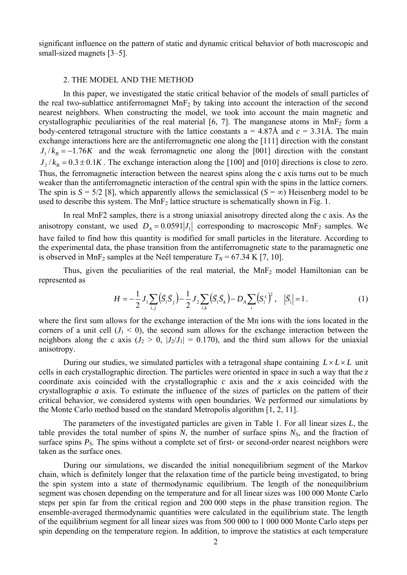significant influence on the pattern of static and dynamic critical behavior of both macroscopic and small-sized magnets [3–5].

## 2. THE MODEL AND THE METHOD

In this paper, we investigated the static critical behavior of the models of small particles of the real two-sublattice antiferromagnet  $MnF<sub>2</sub>$  by taking into account the interaction of the second nearest neighbors. When constructing the model, we took into account the main magnetic and crystallographic peculiarities of the real material [6, 7]. The manganese atoms in MnF<sub>2</sub> form a body-centered tetragonal structure with the lattice constants  $a = 4.87\text{\AA}$  and  $c = 3.31\text{\AA}$ . The main exchange interactions here are the antiferromagnetic one along the [111] direction with the constant  $J_1 / k_B = -1.76K$  and the weak ferromagnetic one along the [001] direction with the constant  $J_1 / k_B = 0.3 \pm 0.1 K$ . The exchange interaction along the [100] and [010] directions is close to zero. Thus, the ferromagnetic interaction between the nearest spins along the c axis turns out to be much weaker than the antiferromagnetic interaction of the central spin with the spins in the lattice corners. The spin is  $S = 5/2$  [8], which apparently allows the semiclassical ( $S = \infty$ ) Heisenberg model to be used to describe this system. The  $MnF_2$  lattice structure is schematically shown in Fig. 1.

In real MnF2 samples, there is a strong uniaxial anisotropy directed along the *c* axis. As the anisotropy constant, we used  $D_A = 0.0591 |J_1|$  corresponding to macroscopic MnF<sub>2</sub> samples. We have failed to find how this quantity is modified for small particles in the literature. According to the experimental data, the phase transition from the antiferromagnetic state to the paramagnetic one is observed in MnF<sub>2</sub> samples at the Neél temperature  $T_N$  = 67.34 K [7, 10].

Thus, given the peculiarities of the real material, the  $MnF<sub>2</sub>$  model Hamiltonian can be represented as

$$
H = -\frac{1}{2}J_1 \sum_{i,j} (\vec{S}_i \vec{S}_j) - \frac{1}{2}J_2 \sum_{i,k} (\vec{S}_i \vec{S}_k) - D_A \sum_i (\vec{S}_i)^2, \quad |\vec{S}_i| = 1.
$$
 (1)

where the first sum allows for the exchange interaction of the Mn ions with the ions located in the corners of a unit cell  $(J_1 < 0)$ , the second sum allows for the exchange interaction between the neighbors along the c axis  $(J_2 > 0, |J_2/J_1| = 0.170)$ , and the third sum allows for the uniaxial anisotropy.

During our studies, we simulated particles with a tetragonal shape containing  $L \times L \times L$  unit cells in each crystallographic direction. The particles were oriented in space in such a way that the *z* coordinate axis coincided with the crystallographic *c* axis and the *x* axis coincided with the crystallographic *a* axis. To estimate the influence of the sizes of particles on the pattern of their critical behavior, we considered systems with open boundaries. We performed our simulations by the Monte Carlo method based on the standard Metropolis algorithm [1, 2, 11].

The parameters of the investigated particles are given in Table 1. For all linear sizes *L*, the table provides the total number of spins  $N$ , the number of surface spins  $N<sub>S</sub>$ , and the fraction of surface spins  $P_s$ . The spins without a complete set of first- or second-order nearest neighbors were taken as the surface ones.

During our simulations, we discarded the initial nonequilibrium segment of the Markov chain, which is definitely longer that the relaxation time of the particle being investigated, to bring the spin system into a state of thermodynamic equilibrium. The length of the nonequilibrium segment was chosen depending on the temperature and for all linear sizes was 100 000 Monte Carlo steps per spin far from the critical region and 200 000 steps in the phase transition region. The ensemble-averaged thermodynamic quantities were calculated in the equilibrium state. The length of the equilibrium segment for all linear sizes was from 500 000 to 1 000 000 Monte Carlo steps per spin depending on the temperature region. In addition, to improve the statistics at each temperature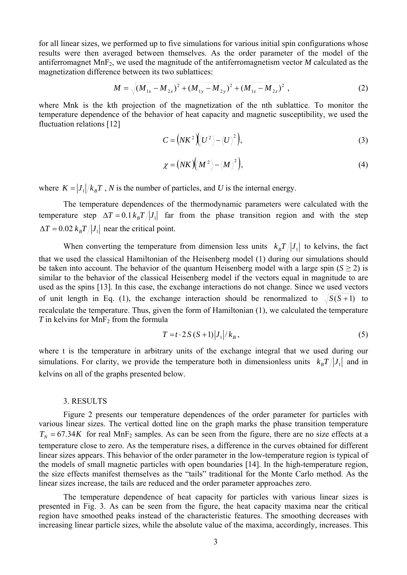for all linear sizes, we performed up to five simulations for various initial spin configurations whose results were then averaged between themselves. As the order parameter of the model of the antiferromagnet  $MnF_2$ , we used the magnitude of the antiferromagnetism vector  $M$  calculated as the magnetization difference between its two sublattices:

$$
M = \sqrt{(M_{1x} - M_{2x})^2 + (M_{1y} - M_{2y})^2 + (M_{1z} - M_{2z})^2},
$$
\n(2)

where Mnk is the kth projection of the magnetization of the nth sublattice. To monitor the temperature dependence of the behavior of heat capacity and magnetic susceptibility, we used the fluctuation relations [12]

$$
C = \left(NK^2\right)\left\langle U^2 \right\rangle - \left\langle U \right\rangle^2
$$
 (3)

$$
\chi = (NK) \left\langle \left\langle M^2 \right\rangle - \left\langle M \right\rangle^2 \right),\tag{4}
$$

where  $K = |J_1|/k_B T$ , *N* is the number of particles, and *U* is the internal energy.

The temperature dependences of the thermodynamic parameters were calculated with the temperature step  $\Delta T = 0.1 k_B T / |J_1|$  far from the phase transition region and with the step  $\Delta T = 0.02 k_B T / |J_1|$  near the critical point.

When converting the temperature from dimension less units  $k_B T / |J_1|$  to kelvins, the fact that we used the classical Hamiltonian of the Heisenberg model (1) during our simulations should be taken into account. The behavior of the quantum Heisenberg model with a large spin  $(S \ge 2)$  is similar to the behavior of the classical Heisenberg model if the vectors equal in magnitude to are used as the spins [13]. In this case, the exchange interactions do not change. Since we used vectors of unit length in Eq. (1), the exchange interaction should be renormalized to  $\sqrt{S(S+1)}$  to recalculate the temperature. Thus, given the form of Hamiltonian (1), we calculated the temperature  $T$  in kelvins for MnF<sub>2</sub> from the formula

$$
T = t \cdot 2S(S+1)|J_1|/k_B,
$$
\n<sup>(5)</sup>

where t is the temperature in arbitrary units of the exchange integral that we used during our simulations. For clarity, we provide the temperature both in dimensionless units  $k_{B}T / |J_{A}|$  and in kelvins on all of the graphs presented below.

#### 3. RESULTS

Figure 2 presents our temperature dependences of the order parameter for particles with various linear sizes. The vertical dotted line on the graph marks the phase transition temperature  $T<sub>N</sub>$  = 67.34*K* for real MnF<sub>2</sub> samples. As can be seen from the figure, there are no size effects at a temperature close to zero. As the temperature rises, a difference in the curves obtained for different linear sizes appears. This behavior of the order parameter in the low-temperature region is typical of the models of small magnetic particles with open boundaries [14]. In the high-temperature region, the size effects manifest themselves as the "tails" traditional for the Monte Carlo method. As the linear sizes increase, the tails are reduced and the order parameter approaches zero.

The temperature dependence of heat capacity for particles with various linear sizes is presented in Fig. 3. As can be seen from the figure, the heat capacity maxima near the critical region have smoothed peaks instead of the characteristic features. The smoothing decreases with increasing linear particle sizes, while the absolute value of the maxima, accordingly, increases. This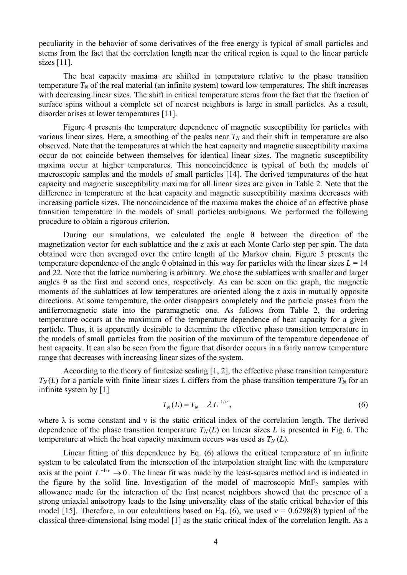peculiarity in the behavior of some derivatives of the free energy is typical of small particles and stems from the fact that the correlation length near the critical region is equal to the linear particle sizes [11].

The heat capacity maxima are shifted in temperature relative to the phase transition temperature  $T_N$  of the real material (an infinite system) toward low temperatures. The shift increases with decreasing linear sizes. The shift in critical temperature stems from the fact that the fraction of surface spins without a complete set of nearest neighbors is large in small particles. As a result, disorder arises at lower temperatures [11].

Figure 4 presents the temperature dependence of magnetic susceptibility for particles with various linear sizes. Here, a smoothing of the peaks near  $T_N$  and their shift in temperature are also observed. Note that the temperatures at which the heat capacity and magnetic susceptibility maxima occur do not coincide between themselves for identical linear sizes. The magnetic susceptibility maxima occur at higher temperatures. This noncoincidence is typical of both the models of macroscopic samples and the models of small particles [14]. The derived temperatures of the heat capacity and magnetic susceptibility maxima for all linear sizes are given in Table 2. Note that the difference in temperature at the heat capacity and magnetic susceptibility maxima decreases with increasing particle sizes. The noncoincidence of the maxima makes the choice of an effective phase transition temperature in the models of small particles ambiguous. We performed the following procedure to obtain a rigorous criterion.

During our simulations, we calculated the angle  $\theta$  between the direction of the magnetization vector for each sublattice and the *z* axis at each Monte Carlo step per spin. The data obtained were then averaged over the entire length of the Markov chain. Figure 5 presents the temperature dependence of the angle  $\theta$  obtained in this way for particles with the linear sizes  $L = 14$ and 22. Note that the lattice numbering is arbitrary. We chose the sublattices with smaller and larger angles θ as the first and second ones, respectively. As can be seen on the graph, the magnetic moments of the sublattices at low temperatures are oriented along the *z* axis in mutually opposite directions. At some temperature, the order disappears completely and the particle passes from the antiferromagnetic state into the paramagnetic one. As follows from Table 2, the ordering temperature occurs at the maximum of the temperature dependence of heat capacity for a given particle. Thus, it is apparently desirable to determine the effective phase transition temperature in the models of small particles from the position of the maximum of the temperature dependence of heat capacity. It can also be seen from the figure that disorder occurs in a fairly narrow temperature range that decreases with increasing linear sizes of the system.

According to the theory of finitesize scaling [1, 2], the effective phase transition temperature  $T_N(L)$  for a particle with finite linear sizes *L* differs from the phase transition temperature  $T_N$  for an infinite system by [1]

$$
T_N(L) = T_N - \lambda L^{-1/\nu},\tag{6}
$$

where  $\lambda$  is some constant and v is the static critical index of the correlation length. The derived dependence of the phase transition temperature  $T_N(L)$  on linear sizes L is presented in Fig. 6. The temperature at which the heat capacity maximum occurs was used as  $T_N(L)$ .

Linear fitting of this dependence by Eq. (6) allows the critical temperature of an infinite system to be calculated from the intersection of the interpolation straight line with the temperature axis at the point  $L^{-1/\nu} \rightarrow 0$ . The linear fit was made by the least-squares method and is indicated in the figure by the solid line. Investigation of the model of macroscopic  $MnF<sub>2</sub>$  samples with allowance made for the interaction of the first nearest neighbors showed that the presence of a strong uniaxial anisotropy leads to the Ising universality class of the static critical behavior of this model [15]. Therefore, in our calculations based on Eq. (6), we used  $v = 0.6298(8)$  typical of the classical three-dimensional Ising model [1] as the static critical index of the correlation length. As a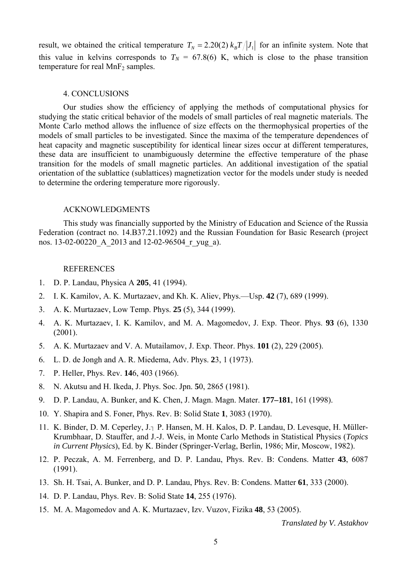result, we obtained the critical temperature  $T<sub>N</sub> = 2.20(2) k<sub>B</sub> T / |J<sub>1</sub>|$  for an infinite system. Note that this value in kelvins corresponds to  $T_N = 67.8(6)$  K, which is close to the phase transition temperature for real  $MnF<sub>2</sub>$  samples.

### 4. CONCLUSIONS

Our studies show the efficiency of applying the methods of computational physics for studying the static critical behavior of the models of small particles of real magnetic materials. The Monte Carlo method allows the influence of size effects on the thermophysical properties of the models of small particles to be investigated. Since the maxima of the temperature dependences of heat capacity and magnetic susceptibility for identical linear sizes occur at different temperatures, these data are insufficient to unambiguously determine the effective temperature of the phase transition for the models of small magnetic particles. An additional investigation of the spatial orientation of the sublattice (sublattices) magnetization vector for the models under study is needed to determine the ordering temperature more rigorously.

#### ACKNOWLEDGMENTS

This study was financially supported by the Ministry of Education and Science of the Russia Federation (contract no. 14.B37.21.1092) and the Russian Foundation for Basic Research (project nos. 13-02-00220\_A\_2013 and 12-02-96504\_r\_yug\_a).

#### REFERENCES

- 1. D. P. Landau, Physica A **205**, 41 (1994).
- 2. I. K. Kamilov, A. K. Murtazaev, and Kh. K. Aliev, Phys.—Usp. **42** (7), 689 (1999).
- 3. A. K. Murtazaev, Low Temp. Phys. **25** (5), 344 (1999).
- 4. A. K. Murtazaev, I. K. Kamilov, and M. A. Magomedov, J. Exp. Theor. Phys. **93** (6), 1330 (2001).
- 5. A. K. Murtazaev and V. A. Mutailamov, J. Exp. Theor. Phys. **101** (2), 229 (2005).
- 6. L. D. de Jongh and A. R. Miedema, Adv. Phys. **2**3, 1 (1973).
- 7. P. Heller, Phys. Rev. **14**6, 403 (1966).
- 8. N. Akutsu and H. Ikeda, J. Phys. Soc. Jpn. **5**0, 2865 (1981).
- 9. D. P. Landau, A. Bunker, and K. Chen, J. Magn. Magn. Mater. **177–181**, 161 (1998).
- 10. Y. Shapira and S. Foner, Phys. Rev. B: Solid State **1**, 3083 (1970).
- 11. K. Binder, D. M. Ceperley, J.<sub>7</sub> P. Hansen, M. H. Kalos, D. P. Landau, D. Levesque, H. Müller-Krumbhaar, D. Stauffer, and J.-J. Weis, in Monte Carlo Methods in Statistical Physics (*Topics in Current Physics*), Ed. by K. Binder (Springer-Verlag, Berlin, 1986; Mir, Moscow, 1982).
- 12. P. Peczak, A. M. Ferrenberg, and D. P. Landau, Phys. Rev. B: Condens. Matter **43**, 6087 (1991).
- 13. Sh. H. Tsai, A. Bunker, and D. P. Landau, Phys. Rev. B: Condens. Matter **61**, 333 (2000).
- 14. D. P. Landau, Phys. Rev. B: Solid State **14**, 255 (1976).
- 15. M. A. Magomedov and A. K. Murtazaev, Izv. Vuzov, Fizika **48**, 53 (2005).

*Translated by V. Astakhov*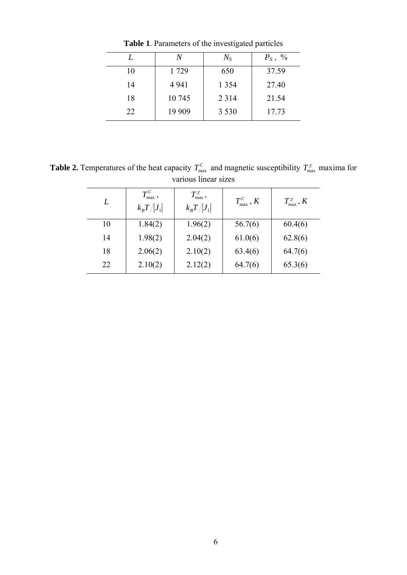|    | N       | $N_{S}$ | $P_S$ , % |  |
|----|---------|---------|-----------|--|
| 10 | 1729    | 650     | 37.59     |  |
| 14 | 4 9 4 1 | 1 3 5 4 | 27.40     |  |
| 18 | 10 745  | 2 3 1 4 | 21.54     |  |
| 22 | 19 909  | 3 5 3 0 | 17.73     |  |

**Table 1**. Parameters of the investigated particles

**Table 2.** Temperatures of the heat capacity  $T_{\text{max}}^C$  and magnetic susceptibility  $T_{\text{max}}^{\chi}$  maxima for various linear sizes

| L  | $T_{\rm max}^{\it C}$ ,<br>$k_{B}T/ J_{1} $ | $T_{\rm max}^{\chi}$<br>$k_{\rm B}T/ J_1 $ | $T_{\max}^C$ , K | $T_{\max}^{\chi}$ , K |
|----|---------------------------------------------|--------------------------------------------|------------------|-----------------------|
| 10 | 1.84(2)                                     | 1.96(2)                                    | 56.7(6)          | 60.4(6)               |
| 14 | 1.98(2)                                     | 2.04(2)                                    | 61.0(6)          | 62.8(6)               |
| 18 | 2.06(2)                                     | 2.10(2)                                    | 63.4(6)          | 64.7(6)               |
| 22 | 2.10(2)                                     | 2.12(2)                                    | 64.7(6)          | 65.3(6)               |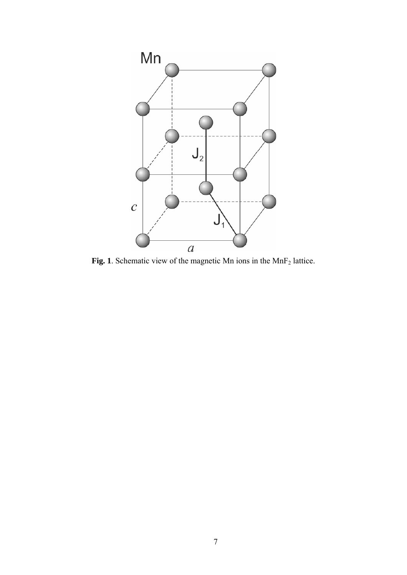

Fig. 1. Schematic view of the magnetic Mn ions in the MnF<sub>2</sub> lattice.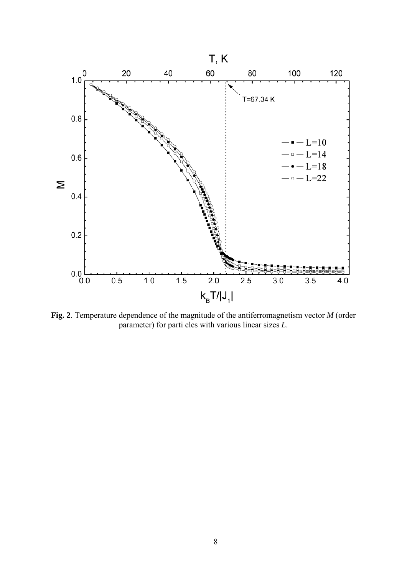

**Fig. 2**. Temperature dependence of the magnitude of the antiferromagnetism vector *M* (order parameter) for parti cles with various linear sizes *L*.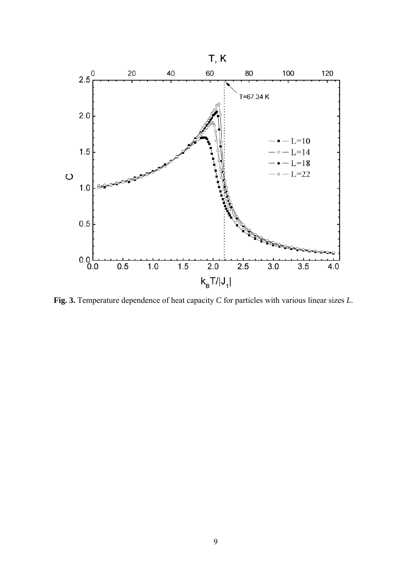

**Fig. 3.** Temperature dependence of heat capacity *C* for particles with various linear sizes *L*.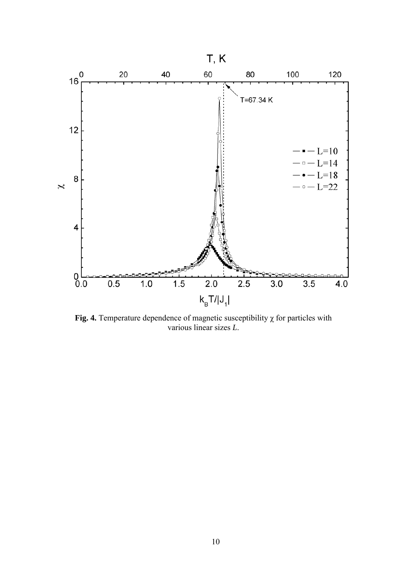

**Fig. 4.** Temperature dependence of magnetic susceptibility  $\chi$  for particles with various linear sizes *L*.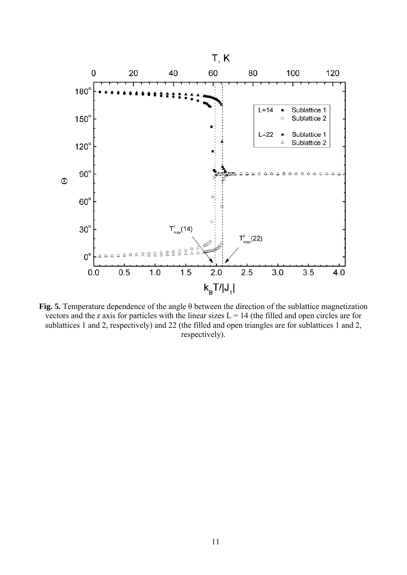

**Fig. 5.** Temperature dependence of the angle θ between the direction of the sublattice magnetization vectors and the *z* axis for particles with the linear sizes  $L = 14$  (the filled and open circles are for sublattices 1 and 2, respectively) and 22 (the filled and open triangles are for sublattices 1 and 2, respectively).